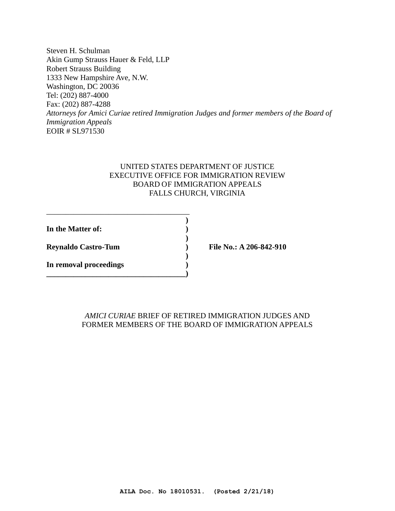Steven H. Schulman Akin Gump Strauss Hauer & Feld, LLP Robert Strauss Building 1333 New Hampshire Ave, N.W. Washington, DC 20036 Tel: (202) 887-4000 Fax: (202) 887-4288 *Attorneys for Amici Curiae retired Immigration Judges and former members of the Board of Immigration Appeals* EOIR # SL971530

### UNITED STATES DEPARTMENT OF JUSTICE EXECUTIVE OFFICE FOR IMMIGRATION REVIEW BOARD OF IMMIGRATION APPEALS FALLS CHURCH, VIRGINIA

In the Matter of: *In the Matter of:* 

\_\_\_\_\_\_\_\_\_\_\_\_\_\_\_\_\_\_\_\_\_\_\_\_\_\_\_\_\_\_\_\_\_\_\_\_\_ **)** 

 **)** 

 **)** 

**\_\_\_\_\_\_\_\_\_\_\_\_\_\_\_\_\_\_\_\_\_\_\_\_\_\_\_\_\_\_\_\_\_\_\_\_)** 

**In removal proceedings )** 

**Reynaldo Castro-Tum ) File No.: A 206-842-910** 

### *AMICI CURIAE* BRIEF OF RETIRED IMMIGRATION JUDGES AND FORMER MEMBERS OF THE BOARD OF IMMIGRATION APPEALS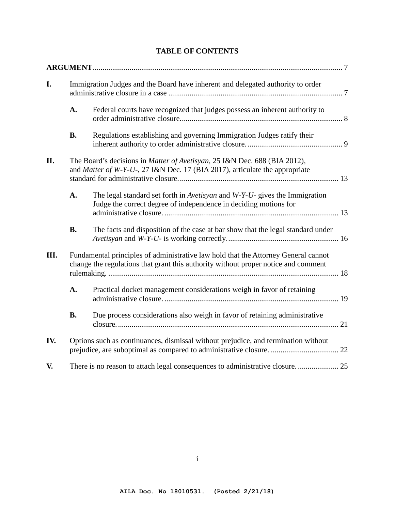| I.   | Immigration Judges and the Board have inherent and delegated authority to order    |                                                                                                                                                                          |  |
|------|------------------------------------------------------------------------------------|--------------------------------------------------------------------------------------------------------------------------------------------------------------------------|--|
|      | A.                                                                                 | Federal courts have recognized that judges possess an inherent authority to                                                                                              |  |
|      | <b>B.</b>                                                                          | Regulations establishing and governing Immigration Judges ratify their                                                                                                   |  |
| II.  |                                                                                    | The Board's decisions in Matter of Avetisyan, 25 I&N Dec. 688 (BIA 2012),<br>and Matter of W-Y-U-, 27 I&N Dec. 17 (BIA 2017), articulate the appropriate                 |  |
|      | A.                                                                                 | The legal standard set forth in <i>Avetisyan</i> and <i>W-Y-U-</i> gives the Immigration<br>Judge the correct degree of independence in deciding motions for             |  |
|      | <b>B.</b>                                                                          | The facts and disposition of the case at bar show that the legal standard under                                                                                          |  |
| III. |                                                                                    | Fundamental principles of administrative law hold that the Attorney General cannot<br>change the regulations that grant this authority without proper notice and comment |  |
|      | A.                                                                                 | Practical docket management considerations weigh in favor of retaining                                                                                                   |  |
|      | <b>B.</b>                                                                          | Due process considerations also weigh in favor of retaining administrative                                                                                               |  |
| IV.  | Options such as continuances, dismissal without prejudice, and termination without |                                                                                                                                                                          |  |
| V.   |                                                                                    |                                                                                                                                                                          |  |

# **TABLE OF CONTENTS**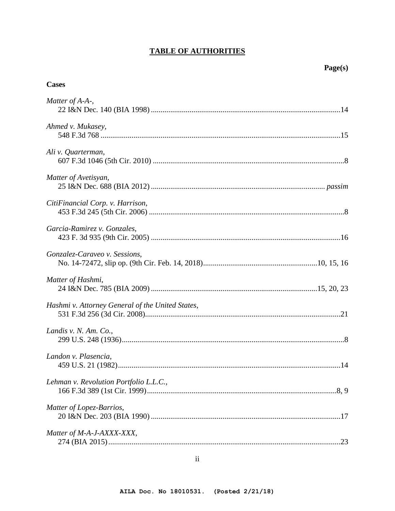# **TABLE OF AUTHORITIES**

## **Cases**

| Matter of A-A-,                                  |  |
|--------------------------------------------------|--|
| Ahmed v. Mukasey,                                |  |
| Ali v. Quarterman,                               |  |
| Matter of Avetisyan,                             |  |
| CitiFinancial Corp. v. Harrison,                 |  |
| Garcia-Ramirez v. Gonzales,                      |  |
| Gonzalez-Caraveo v. Sessions,                    |  |
| Matter of Hashmi,                                |  |
| Hashmi v. Attorney General of the United States, |  |
| Landis v. N. Am. Co.,                            |  |
| Landon v. Plasencia,                             |  |
| Lehman v. Revolution Portfolio L.L.C.,           |  |
| Matter of Lopez-Barrios,                         |  |
| Matter of M-A-J-AXXX-XXX,                        |  |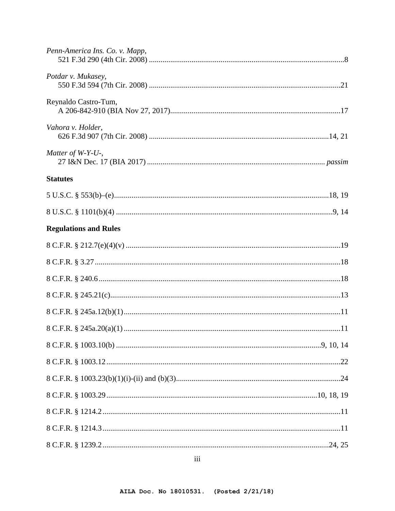| Penn-America Ins. Co. v. Mapp, |  |
|--------------------------------|--|
| Potdar v. Mukasey,             |  |
| Reynaldo Castro-Tum,           |  |
| Vahora v. Holder,              |  |
| Matter of W-Y-U-,              |  |
| <b>Statutes</b>                |  |
|                                |  |
|                                |  |
| <b>Regulations and Rules</b>   |  |
|                                |  |
|                                |  |
|                                |  |
|                                |  |
|                                |  |
|                                |  |
|                                |  |
|                                |  |
|                                |  |
|                                |  |
|                                |  |
|                                |  |
|                                |  |
|                                |  |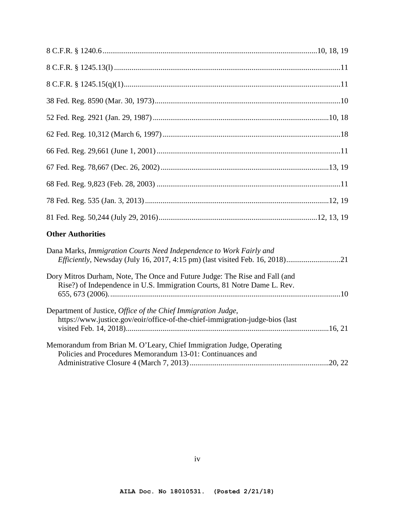| <b>Other Authorities</b>                                                                                                                                |
|---------------------------------------------------------------------------------------------------------------------------------------------------------|
| Dana Marks, Immigration Courts Need Independence to Work Fairly and                                                                                     |
| Dory Mitros Durham, Note, The Once and Future Judge: The Rise and Fall (and<br>Rise?) of Independence in U.S. Immigration Courts, 81 Notre Dame L. Rev. |
| Department of Justice, Office of the Chief Immigration Judge,<br>https://www.justice.gov/eoir/office-of-the-chief-immigration-judge-bios (last          |
| Memorandum from Brian M. O'Leary, Chief Immigration Judge, Operating<br>Policies and Procedures Memorandum 13-01: Continuances and                      |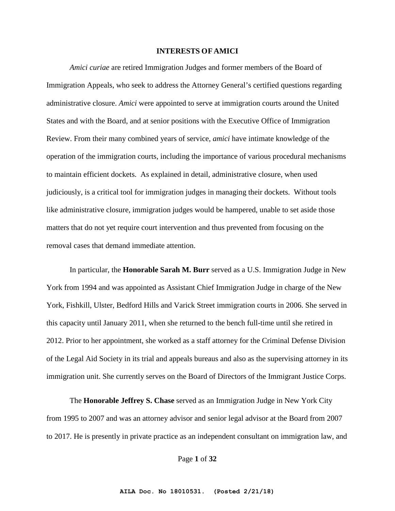### **INTERESTS OF AMICI**

*Amici curiae* are retired Immigration Judges and former members of the Board of Immigration Appeals, who seek to address the Attorney General's certified questions regarding administrative closure. *Amici* were appointed to serve at immigration courts around the United States and with the Board, and at senior positions with the Executive Office of Immigration Review. From their many combined years of service, *amici* have intimate knowledge of the operation of the immigration courts, including the importance of various procedural mechanisms to maintain efficient dockets. As explained in detail, administrative closure, when used judiciously, is a critical tool for immigration judges in managing their dockets. Without tools like administrative closure, immigration judges would be hampered, unable to set aside those matters that do not yet require court intervention and thus prevented from focusing on the removal cases that demand immediate attention.

In particular, the **Honorable Sarah M. Burr** served as a U.S. Immigration Judge in New York from 1994 and was appointed as Assistant Chief Immigration Judge in charge of the New York, Fishkill, Ulster, Bedford Hills and Varick Street immigration courts in 2006. She served in this capacity until January 2011, when she returned to the bench full-time until she retired in 2012. Prior to her appointment, she worked as a staff attorney for the Criminal Defense Division of the Legal Aid Society in its trial and appeals bureaus and also as the supervising attorney in its immigration unit. She currently serves on the Board of Directors of the Immigrant Justice Corps.

The **Honorable Jeffrey S. Chase** served as an Immigration Judge in New York City from 1995 to 2007 and was an attorney advisor and senior legal advisor at the Board from 2007 to 2017. He is presently in private practice as an independent consultant on immigration law, and

Page **1** of **32**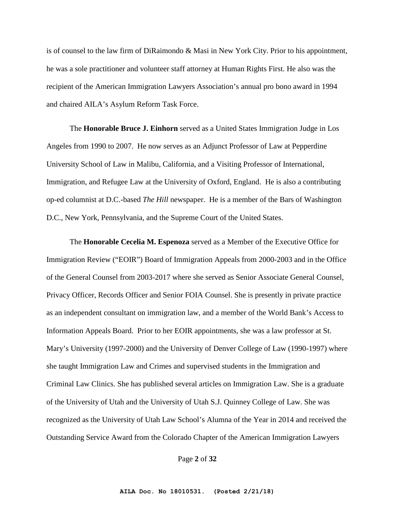is of counsel to the law firm of DiRaimondo & Masi in New York City. Prior to his appointment, he was a sole practitioner and volunteer staff attorney at Human Rights First. He also was the recipient of the American Immigration Lawyers Association's annual pro bono award in 1994 and chaired AILA's Asylum Reform Task Force.

The **Honorable Bruce J. Einhorn** served as a United States Immigration Judge in Los Angeles from 1990 to 2007. He now serves as an Adjunct Professor of Law at Pepperdine University School of Law in Malibu, California, and a Visiting Professor of International, Immigration, and Refugee Law at the University of Oxford, England. He is also a contributing op-ed columnist at D.C.-based *The Hill* newspaper. He is a member of the Bars of Washington D.C., New York, Pennsylvania, and the Supreme Court of the United States.

The **Honorable Cecelia M. Espenoza** served as a Member of the Executive Office for Immigration Review ("EOIR") Board of Immigration Appeals from 2000-2003 and in the Office of the General Counsel from 2003-2017 where she served as Senior Associate General Counsel, Privacy Officer, Records Officer and Senior FOIA Counsel. She is presently in private practice as an independent consultant on immigration law, and a member of the World Bank's Access to Information Appeals Board. Prior to her EOIR appointments, she was a law professor at St. Mary's University (1997-2000) and the University of Denver College of Law (1990-1997) where she taught Immigration Law and Crimes and supervised students in the Immigration and Criminal Law Clinics. She has published several articles on Immigration Law. She is a graduate of the University of Utah and the University of Utah S.J. Quinney College of Law. She was recognized as the University of Utah Law School's Alumna of the Year in 2014 and received the Outstanding Service Award from the Colorado Chapter of the American Immigration Lawyers

Page **2** of **32**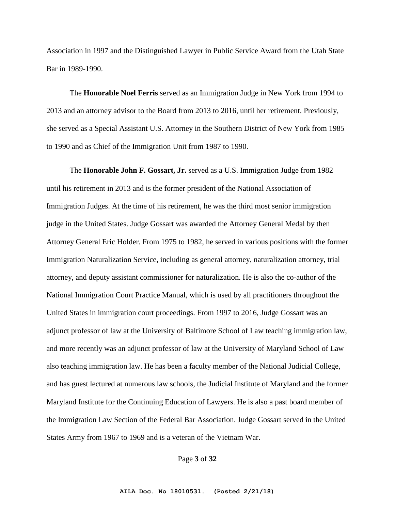Association in 1997 and the Distinguished Lawyer in Public Service Award from the Utah State Bar in 1989-1990.

The **Honorable Noel Ferris** served as an Immigration Judge in New York from 1994 to 2013 and an attorney advisor to the Board from 2013 to 2016, until her retirement. Previously, she served as a Special Assistant U.S. Attorney in the Southern District of New York from 1985 to 1990 and as Chief of the Immigration Unit from 1987 to 1990.

The **Honorable John F. Gossart, Jr.** served as a U.S. Immigration Judge from 1982 until his retirement in 2013 and is the former president of the National Association of Immigration Judges. At the time of his retirement, he was the third most senior immigration judge in the United States. Judge Gossart was awarded the Attorney General Medal by then Attorney General Eric Holder. From 1975 to 1982, he served in various positions with the former Immigration Naturalization Service, including as general attorney, naturalization attorney, trial attorney, and deputy assistant commissioner for naturalization. He is also the co-author of the National Immigration Court Practice Manual, which is used by all practitioners throughout the United States in immigration court proceedings. From 1997 to 2016, Judge Gossart was an adjunct professor of law at the University of Baltimore School of Law teaching immigration law, and more recently was an adjunct professor of law at the University of Maryland School of Law also teaching immigration law. He has been a faculty member of the National Judicial College, and has guest lectured at numerous law schools, the Judicial Institute of Maryland and the former Maryland Institute for the Continuing Education of Lawyers. He is also a past board member of the Immigration Law Section of the Federal Bar Association. Judge Gossart served in the United States Army from 1967 to 1969 and is a veteran of the Vietnam War.

Page **3** of **32**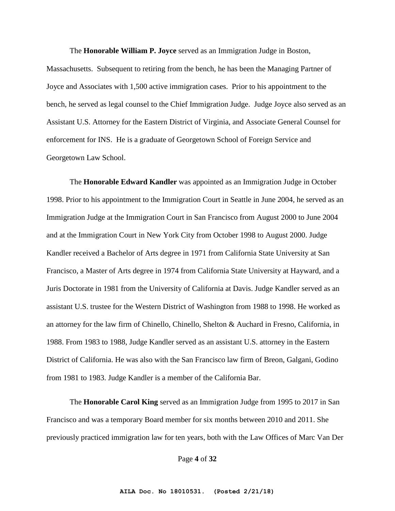The **Honorable William P. Joyce** served as an Immigration Judge in Boston,

Massachusetts. Subsequent to retiring from the bench, he has been the Managing Partner of Joyce and Associates with 1,500 active immigration cases. Prior to his appointment to the bench, he served as legal counsel to the Chief Immigration Judge. Judge Joyce also served as an Assistant U.S. Attorney for the Eastern District of Virginia, and Associate General Counsel for enforcement for INS. He is a graduate of Georgetown School of Foreign Service and Georgetown Law School.

The **Honorable Edward Kandler** was appointed as an Immigration Judge in October 1998. Prior to his appointment to the Immigration Court in Seattle in June 2004, he served as an Immigration Judge at the Immigration Court in San Francisco from August 2000 to June 2004 and at the Immigration Court in New York City from October 1998 to August 2000. Judge Kandler received a Bachelor of Arts degree in 1971 from California State University at San Francisco, a Master of Arts degree in 1974 from California State University at Hayward, and a Juris Doctorate in 1981 from the University of California at Davis. Judge Kandler served as an assistant U.S. trustee for the Western District of Washington from 1988 to 1998. He worked as an attorney for the law firm of Chinello, Chinello, Shelton & Auchard in Fresno, California, in 1988. From 1983 to 1988, Judge Kandler served as an assistant U.S. attorney in the Eastern District of California. He was also with the San Francisco law firm of Breon, Galgani, Godino from 1981 to 1983. Judge Kandler is a member of the California Bar.

The **Honorable Carol King** served as an Immigration Judge from 1995 to 2017 in San Francisco and was a temporary Board member for six months between 2010 and 2011. She previously practiced immigration law for ten years, both with the Law Offices of Marc Van Der

Page **4** of **32**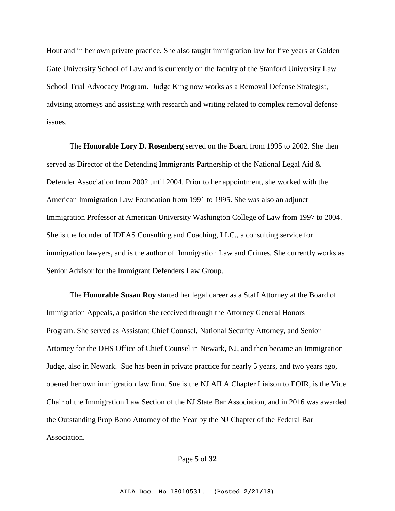Hout and in her own private practice. She also taught immigration law for five years at Golden Gate University School of Law and is currently on the faculty of the Stanford University Law School Trial Advocacy Program. Judge King now works as a Removal Defense Strategist, advising attorneys and assisting with research and writing related to complex removal defense issues.

The **Honorable Lory D. Rosenberg** served on the Board from 1995 to 2002. She then served as Director of the Defending Immigrants Partnership of the National Legal Aid & Defender Association from 2002 until 2004. Prior to her appointment, she worked with the American Immigration Law Foundation from 1991 to 1995. She was also an adjunct Immigration Professor at American University Washington College of Law from 1997 to 2004. She is the founder of IDEAS Consulting and Coaching, LLC., a consulting service for immigration lawyers, and is the author of Immigration Law and Crimes. She currently works as Senior Advisor for the Immigrant Defenders Law Group.

The **Honorable Susan Roy** started her legal career as a Staff Attorney at the Board of Immigration Appeals, a position she received through the Attorney General Honors Program. She served as Assistant Chief Counsel, National Security Attorney, and Senior Attorney for the DHS Office of Chief Counsel in Newark, NJ, and then became an Immigration Judge, also in Newark. Sue has been in private practice for nearly 5 years, and two years ago, opened her own immigration law firm. Sue is the NJ AILA Chapter Liaison to EOIR, is the Vice Chair of the Immigration Law Section of the NJ State Bar Association, and in 2016 was awarded the Outstanding Prop Bono Attorney of the Year by the NJ Chapter of the Federal Bar Association.

Page **5** of **32**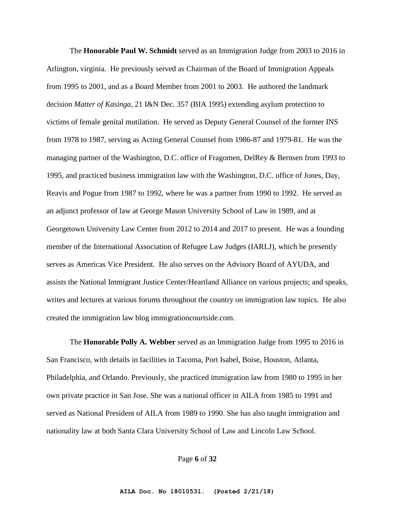The **Honorable Paul W. Schmidt** served as an Immigration Judge from 2003 to 2016 in Arlington, virginia. He previously served as Chairman of the Board of Immigration Appeals from 1995 to 2001, and as a Board Member from 2001 to 2003. He authored the landmark decision *Matter of Kasinga*, 21 I&N Dec. 357 (BIA 1995) extending asylum protection to victims of female genital mutilation. He served as Deputy General Counsel of the former INS from 1978 to 1987, serving as Acting General Counsel from 1986-87 and 1979-81. He was the managing partner of the Washington, D.C. office of Fragomen, DelRey & Bernsen from 1993 to 1995, and practiced business immigration law with the Washington, D.C. office of Jones, Day, Reavis and Pogue from 1987 to 1992, where he was a partner from 1990 to 1992. He served as an adjunct professor of law at George Mason University School of Law in 1989, and at Georgetown University Law Center from 2012 to 2014 and 2017 to present. He was a founding member of the International Association of Refugee Law Judges (IARLJ), which he presently serves as Americas Vice President. He also serves on the Advisory Board of AYUDA, and assists the National Immigrant Justice Center/Heartland Alliance on various projects; and speaks, writes and lectures at various forums throughout the country on immigration law topics. He also created the immigration law blog immigrationcourtside.com.

The **Honorable Polly A. Webber** served as an Immigration Judge from 1995 to 2016 in San Francisco, with details in facilities in Tacoma, Port Isabel, Boise, Houston, Atlanta, Philadelphia, and Orlando. Previously, she practiced immigration law from 1980 to 1995 in her own private practice in San Jose. She was a national officer in AILA from 1985 to 1991 and served as National President of AILA from 1989 to 1990. She has also taught immigration and nationality law at both Santa Clara University School of Law and Lincoln Law School.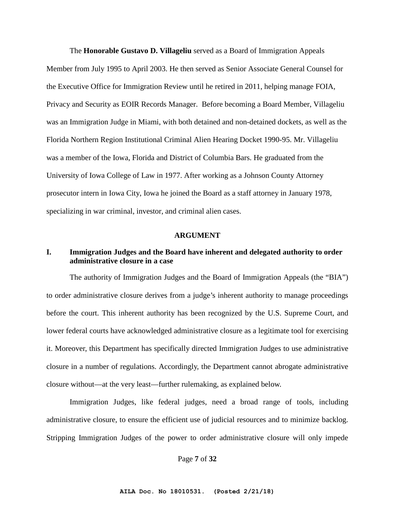The **Honorable Gustavo D. Villageliu** served as a Board of Immigration Appeals Member from July 1995 to April 2003. He then served as Senior Associate General Counsel for the Executive Office for Immigration Review until he retired in 2011, helping manage FOIA, Privacy and Security as EOIR Records Manager. Before becoming a Board Member, Villageliu was an Immigration Judge in Miami, with both detained and non-detained dockets, as well as the Florida Northern Region Institutional Criminal Alien Hearing Docket 1990-95. Mr. Villageliu was a member of the Iowa, Florida and District of Columbia Bars. He graduated from the University of Iowa College of Law in 1977. After working as a Johnson County Attorney prosecutor intern in Iowa City, Iowa he joined the Board as a staff attorney in January 1978, specializing in war criminal, investor, and criminal alien cases.

#### **ARGUMENT**

### <span id="page-11-1"></span><span id="page-11-0"></span>**I. Immigration Judges and the Board have inherent and delegated authority to order administrative closure in a case**

The authority of Immigration Judges and the Board of Immigration Appeals (the "BIA") to order administrative closure derives from a judge's inherent authority to manage proceedings before the court. This inherent authority has been recognized by the U.S. Supreme Court, and lower federal courts have acknowledged administrative closure as a legitimate tool for exercising it. Moreover, this Department has specifically directed Immigration Judges to use administrative closure in a number of regulations. Accordingly, the Department cannot abrogate administrative closure without—at the very least—further rulemaking, as explained below.

Immigration Judges, like federal judges, need a broad range of tools, including administrative closure, to ensure the efficient use of judicial resources and to minimize backlog. Stripping Immigration Judges of the power to order administrative closure will only impede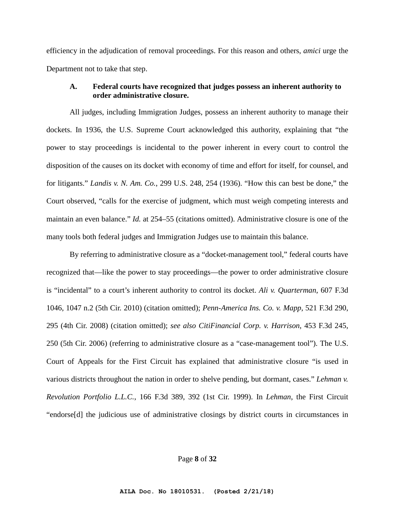efficiency in the adjudication of removal proceedings. For this reason and others, *amici* urge the Department not to take that step.

### <span id="page-12-0"></span>**A. Federal courts have recognized that judges possess an inherent authority to order administrative closure.**

<span id="page-12-3"></span>All judges, including Immigration Judges, possess an inherent authority to manage their dockets. In 1936, the U.S. Supreme Court acknowledged this authority, explaining that "the power to stay proceedings is incidental to the power inherent in every court to control the disposition of the causes on its docket with economy of time and effort for itself, for counsel, and for litigants." *Landis v. N. Am. Co.*, 299 U.S. 248, 254 (1936). "How this can best be done," the Court observed, "calls for the exercise of judgment, which must weigh competing interests and maintain an even balance." *Id.* at 254–55 (citations omitted). Administrative closure is one of the many tools both federal judges and Immigration Judges use to maintain this balance.

By referring to administrative closure as a "docket-management tool," federal courts have recognized that—like the power to stay proceedings—the power to order administrative closure is "incidental" to a court's inherent authority to control its docket. *Ali v. Quarterman*, 607 F.3d 1046, 1047 n.2 (5th Cir. 2010) (citation omitted); *Penn-America Ins. Co. v. Mapp*, 521 F.3d 290, 295 (4th Cir. 2008) (citation omitted); *see also CitiFinancial Corp. v. Harrison*, 453 F.3d 245, 250 (5th Cir. 2006) (referring to administrative closure as a "case-management tool"). The U.S. Court of Appeals for the First Circuit has explained that administrative closure "is used in various districts throughout the nation in order to shelve pending, but dormant, cases." *Lehman v. Revolution Portfolio L.L.C.*, 166 F.3d 389, 392 (1st Cir. 1999). In *Lehman*, the First Circuit "endorse[d] the judicious use of administrative closings by district courts in circumstances in

<span id="page-12-5"></span><span id="page-12-4"></span><span id="page-12-2"></span><span id="page-12-1"></span>Page **8** of **32**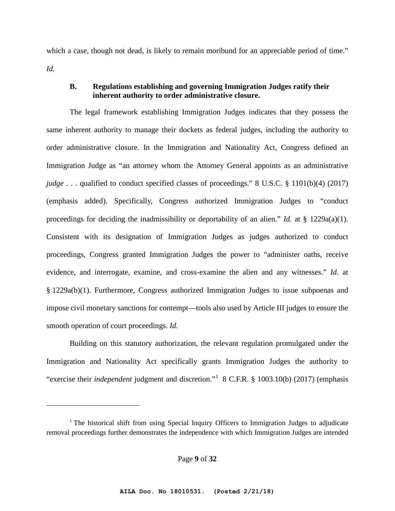<span id="page-13-1"></span>which a case, though not dead, is likely to remain moribund for an appreciable period of time." *Id.*

## <span id="page-13-2"></span><span id="page-13-0"></span>**B. Regulations establishing and governing Immigration Judges ratify their inherent authority to order administrative closure.**

The legal framework establishing Immigration Judges indicates that they possess the same inherent authority to manage their dockets as federal judges, including the authority to order administrative closure. In the Immigration and Nationality Act, Congress defined an Immigration Judge as "an attorney whom the Attorney General appoints as an administrative *judge* . . . qualified to conduct specified classes of proceedings." 8 U.S.C. § 1101(b)(4) (2017) (emphasis added). Specifically, Congress authorized Immigration Judges to "conduct proceedings for deciding the inadmissibility or deportability of an alien." *Id.* at  $\S$  1229a(a)(1). Consistent with its designation of Immigration Judges as judges authorized to conduct proceedings, Congress granted Immigration Judges the power to "administer oaths, receive evidence, and interrogate, examine, and cross-examine the alien and any witnesses." *Id.* at § 1229a(b)(1). Furthermore, Congress authorized Immigration Judges to issue subpoenas and impose civil monetary sanctions for contempt—tools also used by Article III judges to ensure the smooth operation of court proceedings. *Id.*

<span id="page-13-3"></span>Building on this statutory authorization, the relevant regulation promulgated under the Immigration and Nationality Act specifically grants Immigration Judges the authority to "exercise their *independent* judgment and discretion."<sup>[1](#page-13-4)</sup> 8 C.F.R. § 1003.10(b) (2017) (emphasis

<span id="page-13-4"></span> $1$ <sup>1</sup> The historical shift from using Special Inquiry Officers to Immigration Judges to adjudicate removal proceedings further demonstrates the independence with which Immigration Judges are intended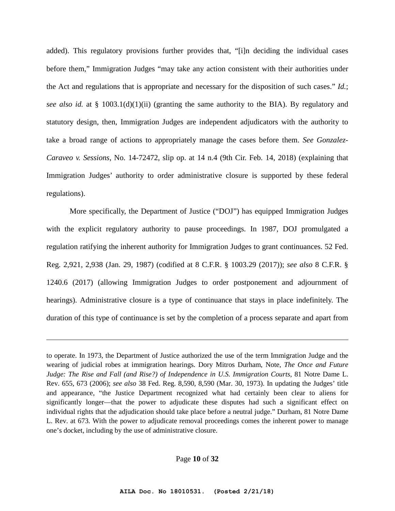<span id="page-14-1"></span>added). This regulatory provisions further provides that, "[i]n deciding the individual cases before them," Immigration Judges "may take any action consistent with their authorities under the Act and regulations that is appropriate and necessary for the disposition of such cases." *Id.*; *see also id.* at § 1003.1(d)(1)(ii) (granting the same authority to the BIA). By regulatory and statutory design, then, Immigration Judges are independent adjudicators with the authority to take a broad range of actions to appropriately manage the cases before them. *See Gonzalez-Caraveo v. Sessions*, No. 14-72472, slip op. at 14 n.4 (9th Cir. Feb. 14, 2018) (explaining that Immigration Judges' authority to order administrative closure is supported by these federal regulations).

<span id="page-14-4"></span><span id="page-14-2"></span><span id="page-14-0"></span>More specifically, the Department of Justice ("DOJ") has equipped Immigration Judges with the explicit regulatory authority to pause proceedings. In 1987, DOJ promulgated a regulation ratifying the inherent authority for Immigration Judges to grant continuances. 52 Fed. Reg. 2,921, 2,938 (Jan. 29, 1987) (codified at 8 C.F.R. § 1003.29 (2017)); *see also* 8 C.F.R. § 1240.6 (2017) (allowing Immigration Judges to order postponement and adjournment of hearings). Administrative closure is a type of continuance that stays in place indefinitely. The duration of this type of continuance is set by the completion of a process separate and apart from

<span id="page-14-5"></span><span id="page-14-3"></span>to operate. In 1973, the Department of Justice authorized the use of the term Immigration Judge and the wearing of judicial robes at immigration hearings. Dory Mitros Durham, Note, *The Once and Future Judge: The Rise and Fall (and Rise?) of Independence in U.S. Immigration Courts*, 81 Notre Dame L. Rev. 655, 673 (2006); *see also* 38 Fed. Reg. 8,590, 8,590 (Mar. 30, 1973). In updating the Judges' title and appearance, "the Justice Department recognized what had certainly been clear to aliens for significantly longer—that the power to adjudicate these disputes had such a significant effect on individual rights that the adjudication should take place before a neutral judge." Durham, 81 Notre Dame L. Rev. at 673. With the power to adjudicate removal proceedings comes the inherent power to manage one's docket, including by the use of administrative closure.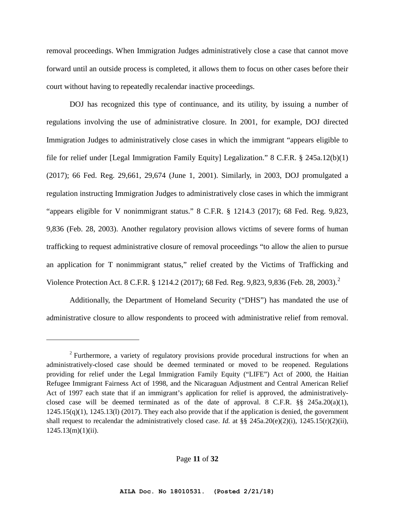removal proceedings. When Immigration Judges administratively close a case that cannot move forward until an outside process is completed, it allows them to focus on other cases before their court without having to repeatedly recalendar inactive proceedings.

<span id="page-15-4"></span><span id="page-15-0"></span>DOJ has recognized this type of continuance, and its utility, by issuing a number of regulations involving the use of administrative closure. In 2001, for example, DOJ directed Immigration Judges to administratively close cases in which the immigrant "appears eligible to file for relief under [Legal Immigration Family Equity] Legalization." 8 C.F.R. § 245a.12(b)(1) (2017); 66 Fed. Reg. 29,661, 29,674 (June 1, 2001). Similarly, in 2003, DOJ promulgated a regulation instructing Immigration Judges to administratively close cases in which the immigrant "appears eligible for V nonimmigrant status." 8 C.F.R. § 1214.3 (2017); 68 Fed. Reg. 9,823, 9,836 (Feb. 28, 2003). Another regulatory provision allows victims of severe forms of human trafficking to request administrative closure of removal proceedings "to allow the alien to pursue an application for T nonimmigrant status," relief created by the Victims of Trafficking and Violence Protection Act. 8 C.F.R. § 1[2](#page-15-6)14.2 (2017); 68 Fed. Reg. 9,823, 9,836 (Feb. 28, 2003).<sup>2</sup>

<span id="page-15-5"></span><span id="page-15-3"></span><span id="page-15-2"></span>Additionally, the Department of Homeland Security ("DHS") has mandated the use of administrative closure to allow respondents to proceed with administrative relief from removal.

<span id="page-15-6"></span><span id="page-15-1"></span> $2$  Furthermore, a variety of regulatory provisions provide procedural instructions for when an administratively-closed case should be deemed terminated or moved to be reopened. Regulations providing for relief under the Legal Immigration Family Equity ("LIFE") Act of 2000, the Haitian Refugee Immigrant Fairness Act of 1998, and the Nicaraguan Adjustment and Central American Relief Act of 1997 each state that if an immigrant's application for relief is approved, the administrativelyclosed case will be deemed terminated as of the date of approval. 8 C.F.R.  $\S$  245a.20(a)(1),  $1245.15(q)(1)$ ,  $1245.13(l)$  (2017). They each also provide that if the application is denied, the government shall request to recalendar the administratively closed case. *Id.* at §§ 245a.20(e)(2)(i), 1245.15(r)(2)(ii),  $1245.13(m)(1)(ii)$ .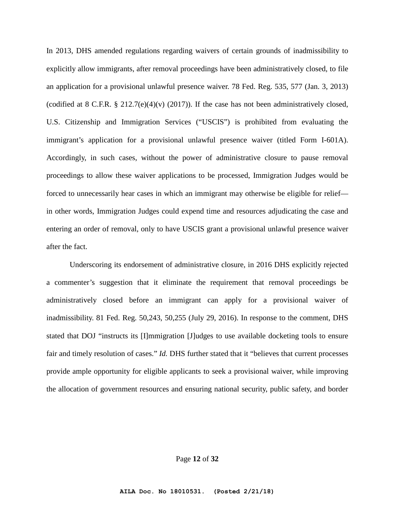<span id="page-16-0"></span>In 2013, DHS amended regulations regarding waivers of certain grounds of inadmissibility to explicitly allow immigrants, after removal proceedings have been administratively closed, to file an application for a provisional unlawful presence waiver. 78 Fed. Reg. 535, 577 (Jan. 3, 2013) (codified at  $8$  C.F.R.  $\S 212.7(e)(4)(v)$  (2017)). If the case has not been administratively closed, U.S. Citizenship and Immigration Services ("USCIS") is prohibited from evaluating the immigrant's application for a provisional unlawful presence waiver (titled Form I-601A). Accordingly, in such cases, without the power of administrative closure to pause removal proceedings to allow these waiver applications to be processed, Immigration Judges would be forced to unnecessarily hear cases in which an immigrant may otherwise be eligible for relief in other words, Immigration Judges could expend time and resources adjudicating the case and entering an order of removal, only to have USCIS grant a provisional unlawful presence waiver after the fact.

<span id="page-16-1"></span>Underscoring its endorsement of administrative closure, in 2016 DHS explicitly rejected a commenter's suggestion that it eliminate the requirement that removal proceedings be administratively closed before an immigrant can apply for a provisional waiver of inadmissibility. 81 Fed. Reg. 50,243, 50,255 (July 29, 2016). In response to the comment, DHS stated that DOJ "instructs its [I]mmigration [J]udges to use available docketing tools to ensure fair and timely resolution of cases." *Id.* DHS further stated that it "believes that current processes provide ample opportunity for eligible applicants to seek a provisional waiver, while improving the allocation of government resources and ensuring national security, public safety, and border

Page **12** of **32**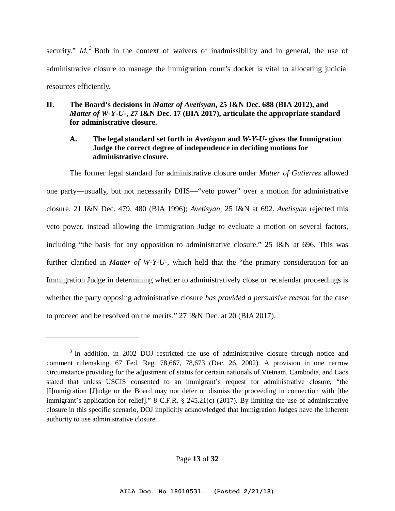<span id="page-17-6"></span>security." *Id.*<sup>[3](#page-17-7)</sup> Both in the context of waivers of inadmissibility and in general, the use of administrative closure to manage the immigration court's docket is vital to allocating judicial resources efficiently.

## <span id="page-17-0"></span>**II. The Board's decisions in** *Matter of Avetisyan***, 25 I&N Dec. 688 (BIA 2012), and**  *Matter of W-Y-U-***, 27 I&N Dec. 17 (BIA 2017), articulate the appropriate standard for administrative closure.**

## <span id="page-17-3"></span><span id="page-17-2"></span><span id="page-17-1"></span>**A. The legal standard set forth in** *Avetisyan* **and** *W-Y-U-* **gives the Immigration Judge the correct degree of independence in deciding motions for administrative closure.**

The former legal standard for administrative closure under *Matter of Gutierrez* allowed one party—usually, but not necessarily DHS—"veto power" over a motion for administrative closure. 21 I&N Dec. 479, 480 (BIA 1996); *Avetisyan*, 25 I&N at 692. *Avetisyan* rejected this veto power, instead allowing the Immigration Judge to evaluate a motion on several factors, including "the basis for any opposition to administrative closure." 25 I&N at 696. This was further clarified in *Matter of W-Y-U-*, which held that the "the primary consideration for an Immigration Judge in determining whether to administratively close or recalendar proceedings is whether the party opposing administrative closure *has provided a persuasive reason* for the case to proceed and be resolved on the merits." 27 I&N Dec. at 20 (BIA 2017).

<span id="page-17-7"></span><span id="page-17-5"></span><span id="page-17-4"></span><sup>&</sup>lt;sup>3</sup> In addition, in 2002 DOJ restricted the use of administrative closure through notice and comment rulemaking. 67 Fed. Reg. 78,667, 78,673 (Dec. 26, 2002). A provision in one narrow circumstance providing for the adjustment of status for certain nationals of Vietnam, Cambodia, and Laos stated that unless USCIS consented to an immigrant's request for administrative closure, "the [I]mmigration [J]udge or the Board may not defer or dismiss the proceeding in connection with [the immigrant's application for relief]." 8 C.F.R. § 245.21(c) (2017). By limiting the use of administrative closure in this specific scenario, DOJ implicitly acknowledged that Immigration Judges have the inherent authority to use administrative closure.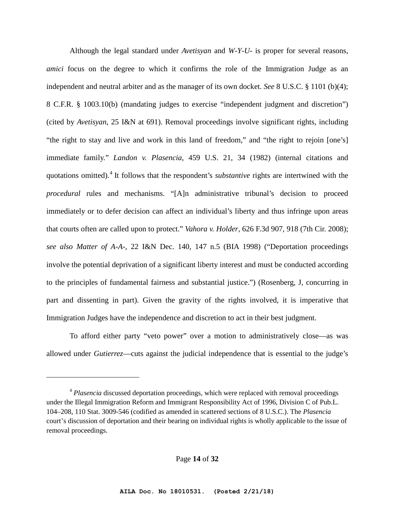<span id="page-18-4"></span><span id="page-18-3"></span><span id="page-18-1"></span>Although the legal standard under *Avetisyan* and *W-Y-U-* is proper for several reasons, *amici* focus on the degree to which it confirms the role of the Immigration Judge as an independent and neutral arbiter and as the manager of its own docket. *See* 8 U.S.C. § 1101 (b)(4); 8 C.F.R. § 1003.10(b) (mandating judges to exercise "independent judgment and discretion") (cited by *Avetisyan*, 25 I&N at 691). Removal proceedings involve significant rights, including "the right to stay and live and work in this land of freedom," and "the right to rejoin [one's] immediate family." *Landon v. Plasencia*, 459 U.S. 21, 34 (1982) (internal citations and quotations omitted).[4](#page-18-5) It follows that the respondent's *substantive* rights are intertwined with the *procedural* rules and mechanisms. "[A]n administrative tribunal's decision to proceed immediately or to defer decision can affect an individual's liberty and thus infringe upon areas that courts often are called upon to protect." *Vahora v. Holder*, 626 F.3d 907, 918 (7th Cir. 2008); *see also Matter of A-A-*, 22 I&N Dec. 140, 147 n.5 (BIA 1998) ("Deportation proceedings involve the potential deprivation of a significant liberty interest and must be conducted according to the principles of fundamental fairness and substantial justice.") (Rosenberg, J, concurring in part and dissenting in part). Given the gravity of the rights involved, it is imperative that Immigration Judges have the independence and discretion to act in their best judgment.

<span id="page-18-2"></span><span id="page-18-0"></span>To afford either party "veto power" over a motion to administratively close—as was allowed under *Gutierrez*—cuts against the judicial independence that is essential to the judge's

<span id="page-18-5"></span><sup>&</sup>lt;sup>4</sup> *Plasencia* discussed deportation proceedings, which were replaced with removal proceedings under the Illegal Immigration Reform and Immigrant Responsibility Act of 1996, Division C of Pub.L. 104–208, 110 Stat. 3009-546 (codified as amended in scattered sections of 8 U.S.C.). The *Plasencia* court's discussion of deportation and their bearing on individual rights is wholly applicable to the issue of removal proceedings.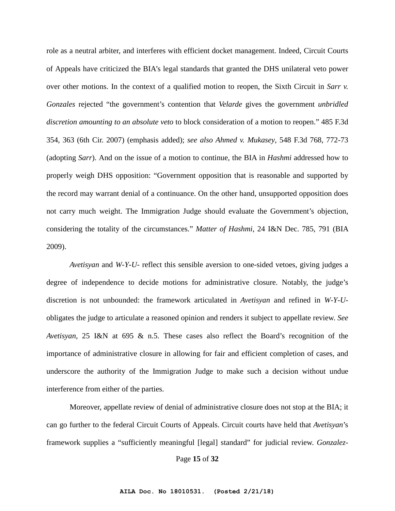<span id="page-19-2"></span><span id="page-19-0"></span>role as a neutral arbiter, and interferes with efficient docket management. Indeed, Circuit Courts of Appeals have criticized the BIA's legal standards that granted the DHS unilateral veto power over other motions. In the context of a qualified motion to reopen, the Sixth Circuit in *Sarr v. Gonzales* rejected "the government's contention that *Velarde* gives the government *unbridled discretion amounting to an absolute veto* to block consideration of a motion to reopen." 485 F.3d 354, 363 (6th Cir. 2007) (emphasis added); *see also Ahmed v. Mukasey*, 548 F.3d 768, 772-73 (adopting *Sarr*). And on the issue of a motion to continue, the BIA in *Hashmi* addressed how to properly weigh DHS opposition: "Government opposition that is reasonable and supported by the record may warrant denial of a continuance. On the other hand, unsupported opposition does not carry much weight. The Immigration Judge should evaluate the Government's objection, considering the totality of the circumstances." *Matter of Hashmi*, 24 I&N Dec. 785, 791 (BIA 2009).

*Avetisyan* and *W-Y-U-* reflect this sensible aversion to one-sided vetoes, giving judges a degree of independence to decide motions for administrative closure. Notably, the judge's discretion is not unbounded: the framework articulated in *Avetisyan* and refined in *W-Y-U*obligates the judge to articulate a reasoned opinion and renders it subject to appellate review. *See Avetisyan*, 25 I&N at 695 & n.5. These cases also reflect the Board's recognition of the importance of administrative closure in allowing for fair and efficient completion of cases, and underscore the authority of the Immigration Judge to make such a decision without undue interference from either of the parties.

Moreover, appellate review of denial of administrative closure does not stop at the BIA; it can go further to the federal Circuit Courts of Appeals. Circuit courts have held that *Avetisyan*'s framework supplies a "sufficiently meaningful [legal] standard" for judicial review. *Gonzalez-*

#### <span id="page-19-1"></span>Page **15** of **32**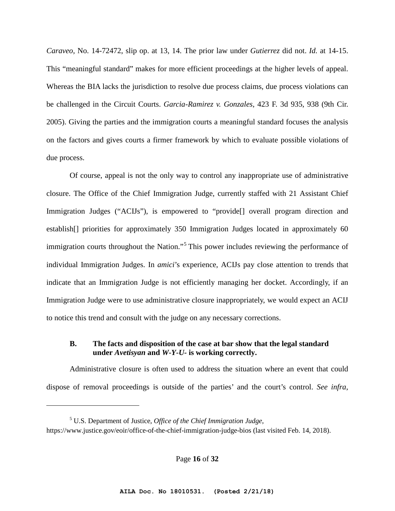<span id="page-20-2"></span><span id="page-20-1"></span>*Caraveo*, No. 14-72472, slip op. at 13, 14. The prior law under *Gutierrez* did not. *Id.* at 14-15. This "meaningful standard" makes for more efficient proceedings at the higher levels of appeal. Whereas the BIA lacks the jurisdiction to resolve due process claims, due process violations can be challenged in the Circuit Courts. *Garcia-Ramirez v. Gonzales*, 423 F. 3d 935, 938 (9th Cir. 2005). Giving the parties and the immigration courts a meaningful standard focuses the analysis on the factors and gives courts a firmer framework by which to evaluate possible violations of due process.

Of course, appeal is not the only way to control any inappropriate use of administrative closure. The Office of the Chief Immigration Judge, currently staffed with 21 Assistant Chief Immigration Judges ("ACIJs"), is empowered to "provide[] overall program direction and establish[] priorities for approximately 350 Immigration Judges located in approximately 60 immigration courts throughout the Nation."<sup>[5](#page-20-4)</sup> This power includes reviewing the performance of individual Immigration Judges. In *amici*'s experience, ACIJs pay close attention to trends that indicate that an Immigration Judge is not efficiently managing her docket. Accordingly, if an Immigration Judge were to use administrative closure inappropriately, we would expect an ACIJ to notice this trend and consult with the judge on any necessary corrections.

### <span id="page-20-0"></span>**B. The facts and disposition of the case at bar show that the legal standard under** *Avetisyan* **and** *W-Y-U-* **is working correctly.**

Administrative closure is often used to address the situation where an event that could dispose of removal proceedings is outside of the parties' and the court's control. *See infra*,

 $\overline{a}$ 

<span id="page-20-3"></span>Page **16** of **32**

<span id="page-20-4"></span><sup>5</sup> U.S. Department of Justice, *Office of the Chief Immigration Judge*, <https://www.justice.gov/eoir/office-of-the-chief-immigration-judge-bios>(last visited Feb. 14, 2018).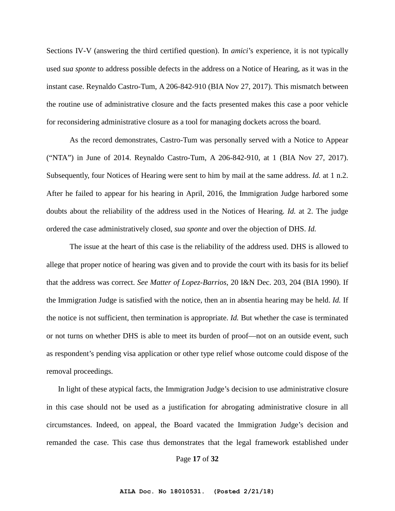<span id="page-21-1"></span>Sections IV-V (answering the third certified question). In *amici*'s experience, it is not typically used *sua sponte* to address possible defects in the address on a Notice of Hearing, as it was in the instant case. Reynaldo Castro-Tum, A 206-842-910 (BIA Nov 27, 2017). This mismatch between the routine use of administrative closure and the facts presented makes this case a poor vehicle for reconsidering administrative closure as a tool for managing dockets across the board.

As the record demonstrates, Castro-Tum was personally served with a Notice to Appear ("NTA") in June of 2014. Reynaldo Castro-Tum, A 206-842-910, at 1 (BIA Nov 27, 2017). Subsequently, four Notices of Hearing were sent to him by mail at the same address. *Id.* at 1 n.2. After he failed to appear for his hearing in April, 2016, the Immigration Judge harbored some doubts about the reliability of the address used in the Notices of Hearing. *Id.* at 2. The judge ordered the case administratively closed, *sua sponte* and over the objection of DHS. *Id.*

<span id="page-21-0"></span>The issue at the heart of this case is the reliability of the address used. DHS is allowed to allege that proper notice of hearing was given and to provide the court with its basis for its belief that the address was correct. *See Matter of Lopez-Barrios*, 20 I&N Dec. 203, 204 (BIA 1990). If the Immigration Judge is satisfied with the notice, then an in absentia hearing may be held. *Id.* If the notice is not sufficient, then termination is appropriate. *Id.* But whether the case is terminated or not turns on whether DHS is able to meet its burden of proof—not on an outside event, such as respondent's pending visa application or other type relief whose outcome could dispose of the removal proceedings.

In light of these atypical facts, the Immigration Judge's decision to use administrative closure in this case should not be used as a justification for abrogating administrative closure in all circumstances. Indeed, on appeal, the Board vacated the Immigration Judge's decision and remanded the case. This case thus demonstrates that the legal framework established under

Page **17** of **32**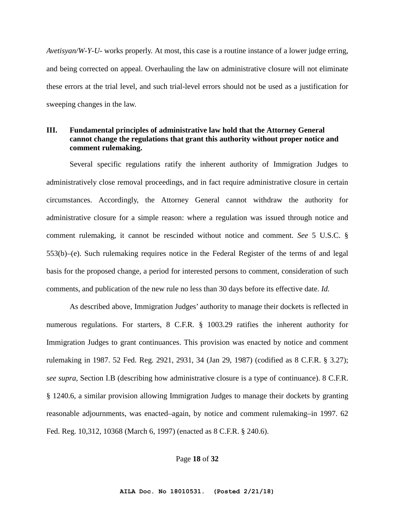*Avetisyan/W-Y-U-* works properly. At most, this case is a routine instance of a lower judge erring, and being corrected on appeal. Overhauling the law on administrative closure will not eliminate these errors at the trial level, and such trial-level errors should not be used as a justification for sweeping changes in the law.

### <span id="page-22-0"></span>**III. Fundamental principles of administrative law hold that the Attorney General cannot change the regulations that grant this authority without proper notice and comment rulemaking.**

<span id="page-22-1"></span>Several specific regulations ratify the inherent authority of Immigration Judges to administratively close removal proceedings, and in fact require administrative closure in certain circumstances. Accordingly, the Attorney General cannot withdraw the authority for administrative closure for a simple reason: where a regulation was issued through notice and comment rulemaking, it cannot be rescinded without notice and comment. *See* 5 U.S.C. § 553(b)–(e). Such rulemaking requires notice in the Federal Register of the terms of and legal basis for the proposed change, a period for interested persons to comment, consideration of such comments, and publication of the new rule no less than 30 days before its effective date. *Id.*

<span id="page-22-6"></span><span id="page-22-5"></span><span id="page-22-4"></span><span id="page-22-3"></span><span id="page-22-2"></span>As described above, Immigration Judges' authority to manage their dockets is reflected in numerous regulations. For starters, 8 C.F.R. § 1003.29 ratifies the inherent authority for Immigration Judges to grant continuances. This provision was enacted by notice and comment rulemaking in 1987. 52 Fed. Reg. 2921, 2931, 34 (Jan 29, 1987) (codified as 8 C.F.R. § 3.27); *see supra*, Section I.B (describing how administrative closure is a type of continuance). 8 C.F.R. § 1240.6, a similar provision allowing Immigration Judges to manage their dockets by granting reasonable adjournments, was enacted–again, by notice and comment rulemaking–in 1997. 62 Fed. Reg. 10,312, 10368 (March 6, 1997) (enacted as 8 C.F.R. § 240.6).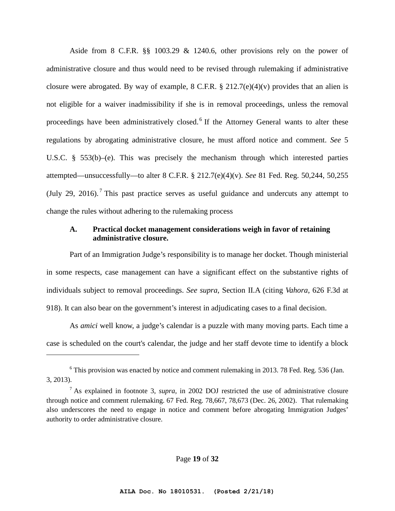<span id="page-23-5"></span><span id="page-23-3"></span>Aside from 8 C.F.R.  $\S$  1003.29 & 1240.6, other provisions rely on the power of administrative closure and thus would need to be revised through rulemaking if administrative closure were abrogated. By way of example,  $8 \text{ C.F.R.}$   $\frac{8}{9}$  212.7(e)(4)(v) provides that an alien is not eligible for a waiver inadmissibility if she is in removal proceedings, unless the removal proceedings have been administratively closed.<sup>[6](#page-23-6)</sup> If the Attorney General wants to alter these regulations by abrogating administrative closure, he must afford notice and comment. *See* 5 U.S.C. § 553(b)–(e). This was precisely the mechanism through which interested parties attempted—unsuccessfully—to alter 8 C.F.R. § 212.7(e)(4)(v). *See* 81 Fed. Reg. 50,244, 50,255 (July 29, 2016).<sup>[7](#page-23-7)</sup> This past practice serves as useful guidance and undercuts any attempt to change the rules without adhering to the rulemaking process

#### <span id="page-23-2"></span><span id="page-23-1"></span><span id="page-23-0"></span>**A. Practical docket management considerations weigh in favor of retaining administrative closure.**

Part of an Immigration Judge's responsibility is to manage her docket. Though ministerial in some respects, case management can have a significant effect on the substantive rights of individuals subject to removal proceedings. *See supra*, Section II.A (citing *Vahora*, 626 F.3d at 918). It can also bear on the government's interest in adjudicating cases to a final decision.

As *amici* well know, a judge's calendar is a puzzle with many moving parts. Each time a case is scheduled on the court's calendar, the judge and her staff devote time to identify a block

<span id="page-23-6"></span> $6$  This provision was enacted by notice and comment rulemaking in 2013. 78 Fed. Reg. 536 (Jan. 3, 2013).

<span id="page-23-7"></span><span id="page-23-4"></span><sup>7</sup> As explained in footnote 3, *supra*, in 2002 DOJ restricted the use of administrative closure through notice and comment rulemaking. 67 Fed. Reg. 78,667, 78,673 (Dec. 26, 2002). That rulemaking also underscores the need to engage in notice and comment before abrogating Immigration Judges' authority to order administrative closure.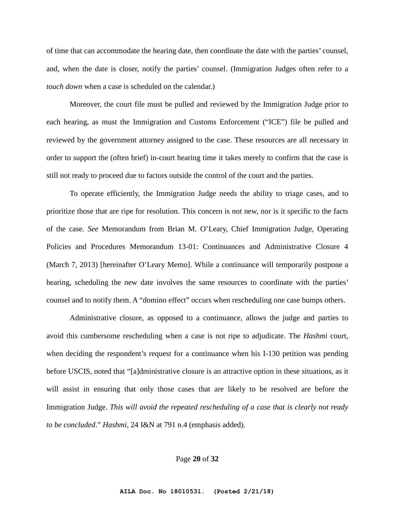of time that can accommodate the hearing date, then coordinate the date with the parties' counsel, and, when the date is closer, notify the parties' counsel. (Immigration Judges often refer to a *touch down* when a case is scheduled on the calendar.)

Moreover, the court file must be pulled and reviewed by the Immigration Judge prior to each hearing, as must the Immigration and Customs Enforcement ("ICE") file be pulled and reviewed by the government attorney assigned to the case. These resources are all necessary in order to support the (often brief) in-court hearing time it takes merely to confirm that the case is still not ready to proceed due to factors outside the control of the court and the parties.

To operate efficiently, the Immigration Judge needs the ability to triage cases, and to prioritize those that are ripe for resolution. This concern is not new, nor is it specific to the facts of the case. *See* Memorandum from Brian M. O'Leary, Chief Immigration Judge, Operating Policies and Procedures Memorandum 13-01: Continuances and Administrative Closure 4 (March 7, 2013) [hereinafter O'Leary Memo]. While a continuance will temporarily postpone a hearing, scheduling the new date involves the same resources to coordinate with the parties' counsel and to notify them. A "domino effect" occurs when rescheduling one case bumps others.

Administrative closure, as opposed to a continuance, allows the judge and parties to avoid this cumbersome rescheduling when a case is not ripe to adjudicate. The *Hashmi* court, when deciding the respondent's request for a continuance when his I-130 petition was pending before USCIS, noted that "[a]dministrative closure is an attractive option in these situations, as it will assist in ensuring that only those cases that are likely to be resolved are before the Immigration Judge. *This will avoid the repeated rescheduling of a case that is clearly not ready to be concluded*." *Hashmi*, 24 I&N at 791 n.4 (emphasis added).

<span id="page-24-0"></span>Page **20** of **32**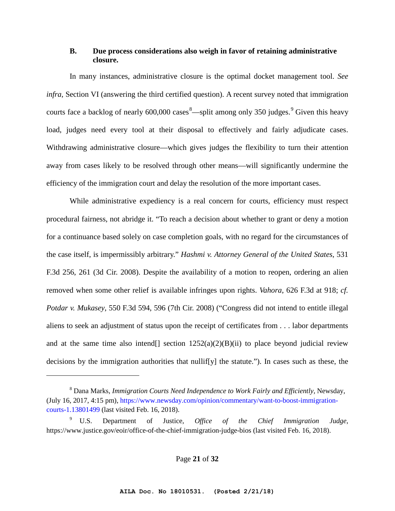### <span id="page-25-0"></span>**B. Due process considerations also weigh in favor of retaining administrative closure.**

In many instances, administrative closure is the optimal docket management tool. *See infra*, Section VI (answering the third certified question). A recent survey noted that immigration courts face a backlog of nearly 600,000 cases  $8$ —split among only 350 judges. <sup>[9](#page-25-6)</sup> Given this heavy load, judges need every tool at their disposal to effectively and fairly adjudicate cases. Withdrawing administrative closure—which gives judges the flexibility to turn their attention away from cases likely to be resolved through other means—will significantly undermine the efficiency of the immigration court and delay the resolution of the more important cases.

<span id="page-25-1"></span>While administrative expediency is a real concern for courts, efficiency must respect procedural fairness, not abridge it. "To reach a decision about whether to grant or deny a motion for a continuance based solely on case completion goals, with no regard for the circumstances of the case itself, is impermissibly arbitrary." *Hashmi v. Attorney General of the United States*, 531 F.3d 256, 261 (3d Cir. 2008). Despite the availability of a motion to reopen, ordering an alien removed when some other relief is available infringes upon rights. *Vahora*, 626 F.3d at 918; *cf. Potdar v. Mukasey*, 550 F.3d 594, 596 (7th Cir. 2008) ("Congress did not intend to entitle illegal aliens to seek an adjustment of status upon the receipt of certificates from . . . labor departments and at the same time also intend  $\lceil$  section  $1252(a)(2)(B)(ii)$  to place beyond judicial review decisions by the immigration authorities that nullif[y] the statute."). In cases such as these, the

<span id="page-25-2"></span> $\overline{a}$ 

<span id="page-25-3"></span>Page **21** of **32**

<span id="page-25-5"></span><span id="page-25-4"></span><sup>8</sup> Dana Marks, *Immigration Courts Need Independence to Work Fairly and Efficiently*, Newsday, (July 16, 2017, 4:15 pm), [https://www.newsday.com/opinion/commentary/want-to-boost-immigration](https://www.newsday.com/opinion/commentary/want-to-boost-immigration-courts-1.13801499)[courts-1.13801499](https://www.newsday.com/opinion/commentary/want-to-boost-immigration-courts-1.13801499) (last visited Feb. 16, 2018).

<span id="page-25-6"></span><sup>9</sup> U.S. Department of Justice, *Office of the Chief Immigration Judge*, <https://www.justice.gov/eoir/office-of-the-chief-immigration-judge-bios>(last visited Feb. 16, 2018).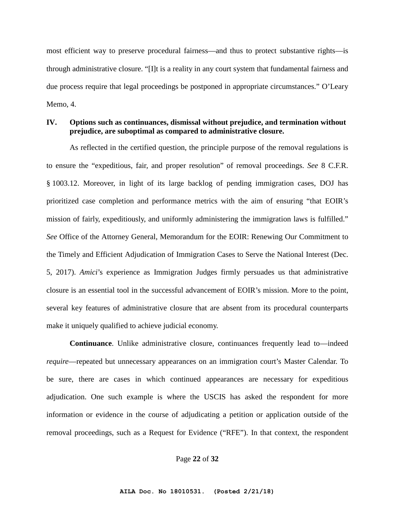<span id="page-26-2"></span>most efficient way to preserve procedural fairness—and thus to protect substantive rights—is through administrative closure. "[I]t is a reality in any court system that fundamental fairness and due process require that legal proceedings be postponed in appropriate circumstances." O'Leary Memo, 4.

### <span id="page-26-0"></span>**IV. Options such as continuances, dismissal without prejudice, and termination without prejudice, are suboptimal as compared to administrative closure.**

<span id="page-26-1"></span>As reflected in the certified question, the principle purpose of the removal regulations is to ensure the "expeditious, fair, and proper resolution" of removal proceedings. *See* 8 C.F.R. § 1003.12. Moreover, in light of its large backlog of pending immigration cases, DOJ has prioritized case completion and performance metrics with the aim of ensuring "that EOIR's mission of fairly, expeditiously, and uniformly administering the immigration laws is fulfilled." *See* Office of the Attorney General, Memorandum for the EOIR: Renewing Our Commitment to the Timely and Efficient Adjudication of Immigration Cases to Serve the National Interest (Dec. 5, 2017). *Amici*'s experience as Immigration Judges firmly persuades us that administrative closure is an essential tool in the successful advancement of EOIR's mission. More to the point, several key features of administrative closure that are absent from its procedural counterparts make it uniquely qualified to achieve judicial economy.

**Continuance**. Unlike administrative closure, continuances frequently lead to—indeed *require*—repeated but unnecessary appearances on an immigration court's Master Calendar. To be sure, there are cases in which continued appearances are necessary for expeditious adjudication. One such example is where the USCIS has asked the respondent for more information or evidence in the course of adjudicating a petition or application outside of the removal proceedings, such as a Request for Evidence ("RFE"). In that context, the respondent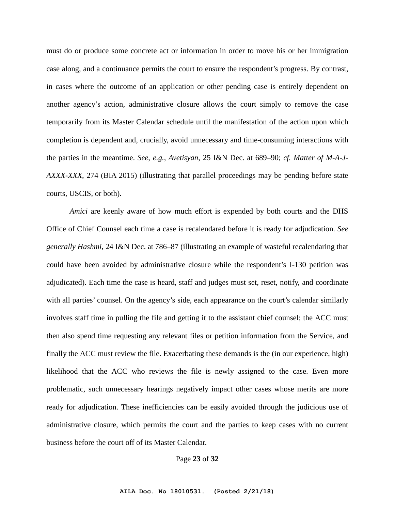must do or produce some concrete act or information in order to move his or her immigration case along, and a continuance permits the court to ensure the respondent's progress. By contrast, in cases where the outcome of an application or other pending case is entirely dependent on another agency's action, administrative closure allows the court simply to remove the case temporarily from its Master Calendar schedule until the manifestation of the action upon which completion is dependent and, crucially, avoid unnecessary and time-consuming interactions with the parties in the meantime. *See*, *e.g.*, *Avetisyan*, 25 I&N Dec. at 689–90; *cf. Matter of M-A-J-AXXX-XXX*, 274 (BIA 2015) (illustrating that parallel proceedings may be pending before state courts, USCIS, or both).

<span id="page-27-0"></span>*Amici* are keenly aware of how much effort is expended by both courts and the DHS Office of Chief Counsel each time a case is recalendared before it is ready for adjudication. *See generally Hashmi*, 24 I&N Dec. at 786–87 (illustrating an example of wasteful recalendaring that could have been avoided by administrative closure while the respondent's I-130 petition was adjudicated). Each time the case is heard, staff and judges must set, reset, notify, and coordinate with all parties' counsel. On the agency's side, each appearance on the court's calendar similarly involves staff time in pulling the file and getting it to the assistant chief counsel; the ACC must then also spend time requesting any relevant files or petition information from the Service, and finally the ACC must review the file. Exacerbating these demands is the (in our experience, high) likelihood that the ACC who reviews the file is newly assigned to the case. Even more problematic, such unnecessary hearings negatively impact other cases whose merits are more ready for adjudication. These inefficiencies can be easily avoided through the judicious use of administrative closure, which permits the court and the parties to keep cases with no current business before the court off of its Master Calendar.

Page **23** of **32**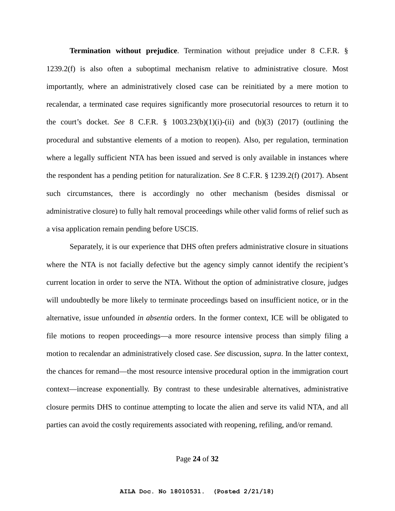<span id="page-28-0"></span>**Termination without prejudice**. Termination without prejudice under 8 C.F.R. § 1239.2(f) is also often a suboptimal mechanism relative to administrative closure. Most importantly, where an administratively closed case can be reinitiated by a mere motion to recalendar, a terminated case requires significantly more prosecutorial resources to return it to the court's docket. *See* 8 C.F.R. § 1003.23(b)(1)(i)-(ii) and (b)(3) (2017) (outlining the procedural and substantive elements of a motion to reopen). Also, per regulation, termination where a legally sufficient NTA has been issued and served is only available in instances where the respondent has a pending petition for naturalization. *See* 8 C.F.R. § 1239.2(f) (2017). Absent such circumstances, there is accordingly no other mechanism (besides dismissal or administrative closure) to fully halt removal proceedings while other valid forms of relief such as a visa application remain pending before USCIS.

Separately, it is our experience that DHS often prefers administrative closure in situations where the NTA is not facially defective but the agency simply cannot identify the recipient's current location in order to serve the NTA. Without the option of administrative closure, judges will undoubtedly be more likely to terminate proceedings based on insufficient notice, or in the alternative, issue unfounded *in absentia* orders. In the former context, ICE will be obligated to file motions to reopen proceedings—a more resource intensive process than simply filing a motion to recalendar an administratively closed case. *See* discussion, *supra*. In the latter context, the chances for remand—the most resource intensive procedural option in the immigration court context—increase exponentially. By contrast to these undesirable alternatives, administrative closure permits DHS to continue attempting to locate the alien and serve its valid NTA, and all parties can avoid the costly requirements associated with reopening, refiling, and/or remand.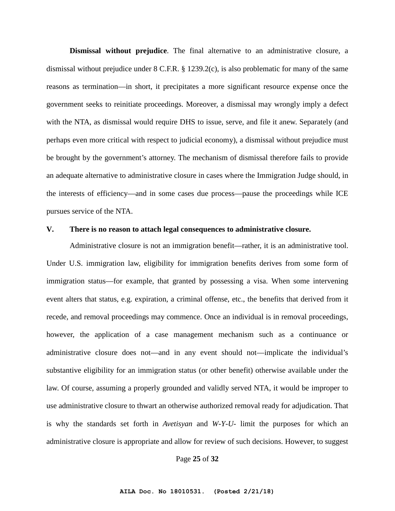<span id="page-29-1"></span>**Dismissal without prejudice**. The final alternative to an administrative closure, a dismissal without prejudice under 8 C.F.R. § 1239.2(c), is also problematic for many of the same reasons as termination—in short, it precipitates a more significant resource expense once the government seeks to reinitiate proceedings. Moreover, a dismissal may wrongly imply a defect with the NTA, as dismissal would require DHS to issue, serve, and file it anew. Separately (and perhaps even more critical with respect to judicial economy), a dismissal without prejudice must be brought by the government's attorney. The mechanism of dismissal therefore fails to provide an adequate alternative to administrative closure in cases where the Immigration Judge should, in the interests of efficiency—and in some cases due process—pause the proceedings while ICE pursues service of the NTA.

#### <span id="page-29-0"></span>**V. There is no reason to attach legal consequences to administrative closure.**

Administrative closure is not an immigration benefit—rather, it is an administrative tool. Under U.S. immigration law, eligibility for immigration benefits derives from some form of immigration status—for example, that granted by possessing a visa. When some intervening event alters that status, e.g. expiration, a criminal offense, etc., the benefits that derived from it recede, and removal proceedings may commence. Once an individual is in removal proceedings, however, the application of a case management mechanism such as a continuance or administrative closure does not—and in any event should not—implicate the individual's substantive eligibility for an immigration status (or other benefit) otherwise available under the law. Of course, assuming a properly grounded and validly served NTA, it would be improper to use administrative closure to thwart an otherwise authorized removal ready for adjudication. That is why the standards set forth in *Avetisyan* and *W-Y-U-* limit the purposes for which an administrative closure is appropriate and allow for review of such decisions. However, to suggest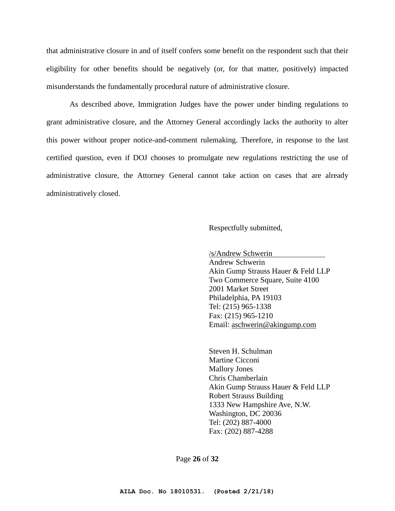that administrative closure in and of itself confers some benefit on the respondent such that their eligibility for other benefits should be negatively (or, for that matter, positively) impacted misunderstands the fundamentally procedural nature of administrative closure.

As described above, Immigration Judges have the power under binding regulations to grant administrative closure, and the Attorney General accordingly lacks the authority to alter this power without proper notice-and-comment rulemaking. Therefore, in response to the last certified question, even if DOJ chooses to promulgate new regulations restricting the use of administrative closure, the Attorney General cannot take action on cases that are already administratively closed.

Respectfully submitted,

 /s/Andrew Schwerin Andrew Schwerin Akin Gump Strauss Hauer & Feld LLP Two Commerce Square, Suite 4100 2001 Market Street Philadelphia, PA 19103 Tel: (215) 965-1338 Fax: (215) 965-1210 Email: [aschwerin@akingump.com](mailto:aschwerin@akingump.com)

Steven H. Schulman Martine Cicconi Mallory Jones Chris Chamberlain Akin Gump Strauss Hauer & Feld LLP Robert Strauss Building 1333 New Hampshire Ave, N.W. Washington, DC 20036 Tel: (202) 887-4000 Fax: (202) 887-4288

Page **26** of **32**